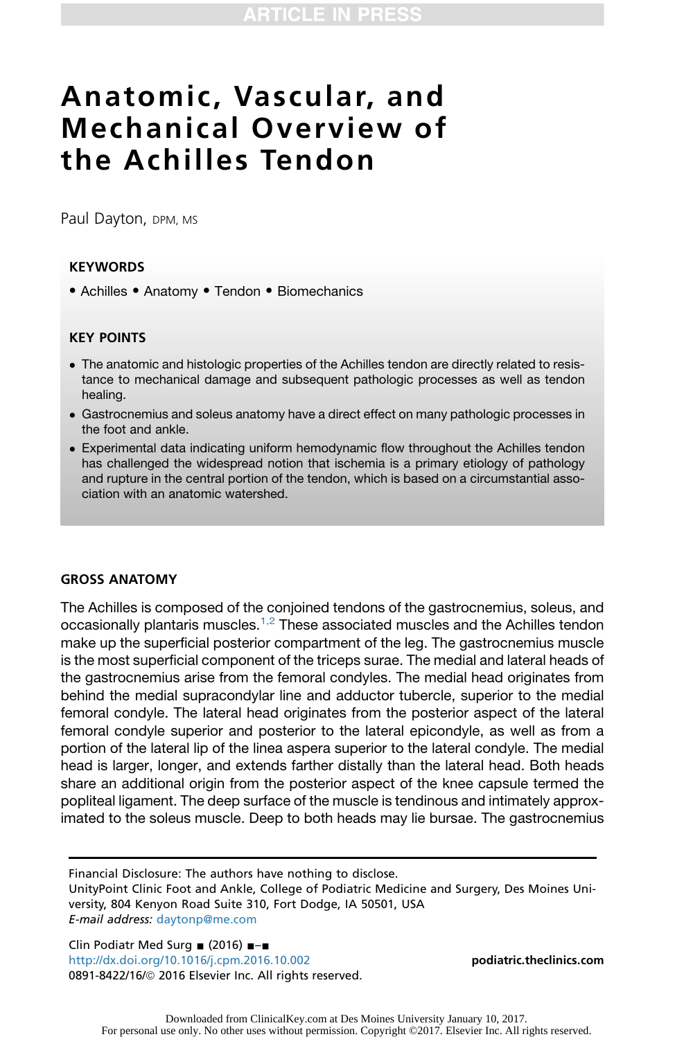# Anatomic, Vascular, and Mechanical Overview of the Achilles Tendon

Paul Dayton, DPM, MS

## **KEYWORDS**

• Achilles • Anatomy • Tendon • Biomechanics

# KEY POINTS

- The anatomic and histologic properties of the Achilles tendon are directly related to resistance to mechanical damage and subsequent pathologic processes as well as tendon healing.
- Gastrocnemius and soleus anatomy have a direct effect on many pathologic processes in the foot and ankle.
- Experimental data indicating uniform hemodynamic flow throughout the Achilles tendon has challenged the widespread notion that ischemia is a primary etiology of pathology and rupture in the central portion of the tendon, which is based on a circumstantial association with an anatomic watershed.

#### GROSS ANATOMY

The Achilles is composed of the conjoined tendons of the gastrocnemius, soleus, and occasionally plantaris muscles.<sup>[1,2](#page-5-0)</sup> These associated muscles and the Achilles tendon make up the superficial posterior compartment of the leg. The gastrocnemius muscle is the most superficial component of the triceps surae. The medial and lateral heads of the gastrocnemius arise from the femoral condyles. The medial head originates from behind the medial supracondylar line and adductor tubercle, superior to the medial femoral condyle. The lateral head originates from the posterior aspect of the lateral femoral condyle superior and posterior to the lateral epicondyle, as well as from a portion of the lateral lip of the linea aspera superior to the lateral condyle. The medial head is larger, longer, and extends farther distally than the lateral head. Both heads share an additional origin from the posterior aspect of the knee capsule termed the popliteal ligament. The deep surface of the muscle is tendinous and intimately approximated to the soleus muscle. Deep to both heads may lie bursae. The gastrocnemius

Financial Disclosure: The authors have nothing to disclose. UnityPoint Clinic Foot and Ankle, College of Podiatric Medicine and Surgery, Des Moines University, 804 Kenyon Road Suite 310, Fort Dodge, IA 50501, USA E-mail address: [daytonp@me.com](mailto:daytonp@me.com)

Clin Podiatr Med Surg  $(2016)$   $\blacksquare$ <http://dx.doi.org/10.1016/j.cpm.2016.10.002> [podiatric.theclinics.com](http://podiatric.theclinics.com) 0891-8422/16/@ 2016 Elsevier Inc. All rights reserved.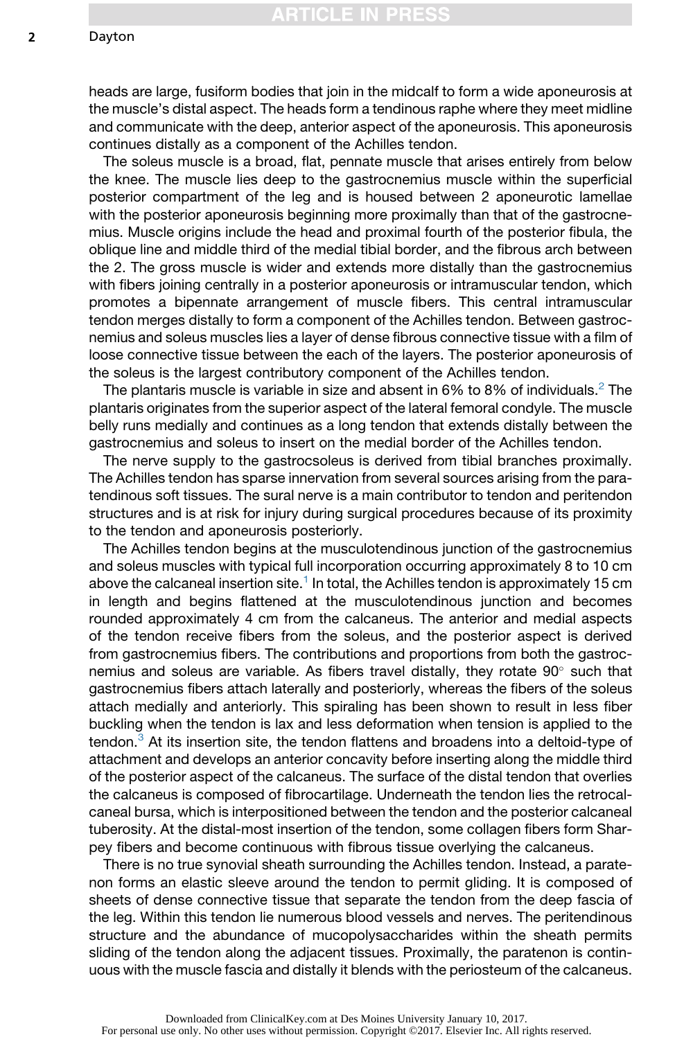heads are large, fusiform bodies that join in the midcalf to form a wide aponeurosis at the muscle's distal aspect. The heads form a tendinous raphe where they meet midline and communicate with the deep, anterior aspect of the aponeurosis. This aponeurosis continues distally as a component of the Achilles tendon.

The soleus muscle is a broad, flat, pennate muscle that arises entirely from below the knee. The muscle lies deep to the gastrocnemius muscle within the superficial posterior compartment of the leg and is housed between 2 aponeurotic lamellae with the posterior aponeurosis beginning more proximally than that of the gastrocnemius. Muscle origins include the head and proximal fourth of the posterior fibula, the oblique line and middle third of the medial tibial border, and the fibrous arch between the 2. The gross muscle is wider and extends more distally than the gastrocnemius with fibers joining centrally in a posterior aponeurosis or intramuscular tendon, which promotes a bipennate arrangement of muscle fibers. This central intramuscular tendon merges distally to form a component of the Achilles tendon. Between gastrocnemius and soleus muscles lies a layer of dense fibrous connective tissue with a film of loose connective tissue between the each of the layers. The posterior aponeurosis of the soleus is the largest contributory component of the Achilles tendon.

The plantaris muscle is variable in size and absent in 6% to 8% of individuals.<sup>[2](#page-5-0)</sup> The plantaris originates from the superior aspect of the lateral femoral condyle. The muscle belly runs medially and continues as a long tendon that extends distally between the gastrocnemius and soleus to insert on the medial border of the Achilles tendon.

The nerve supply to the gastrocsoleus is derived from tibial branches proximally. The Achilles tendon has sparse innervation from several sources arising from the paratendinous soft tissues. The sural nerve is a main contributor to tendon and peritendon structures and is at risk for injury during surgical procedures because of its proximity to the tendon and aponeurosis posteriorly.

The Achilles tendon begins at the musculotendinous junction of the gastrocnemius and soleus muscles with typical full incorporation occurring approximately 8 to 10 cm above the calcaneal insertion site.<sup>[1](#page-5-0)</sup> In total, the Achilles tendon is approximately 15 cm in length and begins flattened at the musculotendinous junction and becomes rounded approximately 4 cm from the calcaneus. The anterior and medial aspects of the tendon receive fibers from the soleus, and the posterior aspect is derived from gastrocnemius fibers. The contributions and proportions from both the gastrocnemius and soleus are variable. As fibers travel distally, they rotate  $90^{\circ}$  such that gastrocnemius fibers attach laterally and posteriorly, whereas the fibers of the soleus attach medially and anteriorly. This spiraling has been shown to result in less fiber buckling when the tendon is lax and less deformation when tension is applied to the tendon.<sup>[3](#page-5-0)</sup> At its insertion site, the tendon flattens and broadens into a deltoid-type of attachment and develops an anterior concavity before inserting along the middle third of the posterior aspect of the calcaneus. The surface of the distal tendon that overlies the calcaneus is composed of fibrocartilage. Underneath the tendon lies the retrocalcaneal bursa, which is interpositioned between the tendon and the posterior calcaneal tuberosity. At the distal-most insertion of the tendon, some collagen fibers form Sharpey fibers and become continuous with fibrous tissue overlying the calcaneus.

There is no true synovial sheath surrounding the Achilles tendon. Instead, a paratenon forms an elastic sleeve around the tendon to permit gliding. It is composed of sheets of dense connective tissue that separate the tendon from the deep fascia of the leg. Within this tendon lie numerous blood vessels and nerves. The peritendinous structure and the abundance of mucopolysaccharides within the sheath permits sliding of the tendon along the adjacent tissues. Proximally, the paratenon is continuous with the muscle fascia and distally it blends with the periosteum of the calcaneus.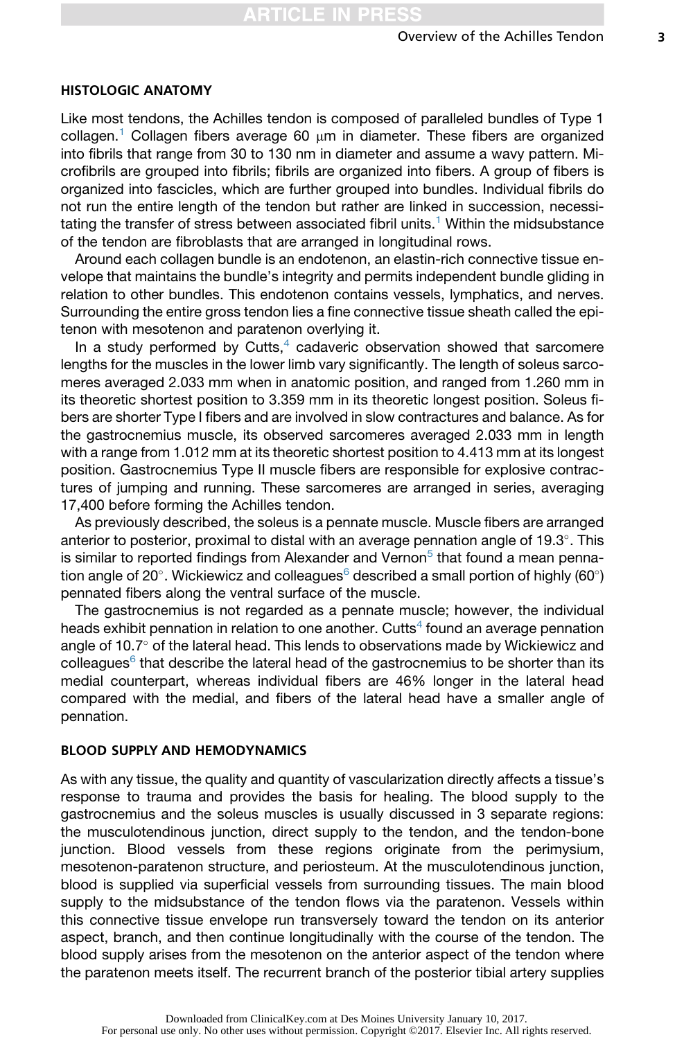#### HISTOLOGIC ANATOMY

Like most tendons, the Achilles tendon is composed of paralleled bundles of Type 1 collagen.<sup>[1](#page-5-0)</sup> Collagen fibers average 60  $\mu$ m in diameter. These fibers are organized into fibrils that range from 30 to 130 nm in diameter and assume a wavy pattern. Microfibrils are grouped into fibrils; fibrils are organized into fibers. A group of fibers is organized into fascicles, which are further grouped into bundles. Individual fibrils do not run the entire length of the tendon but rather are linked in succession, necessi-tating the transfer of stress between associated fibril units.<sup>[1](#page-5-0)</sup> Within the midsubstance of the tendon are fibroblasts that are arranged in longitudinal rows.

Around each collagen bundle is an endotenon, an elastin-rich connective tissue envelope that maintains the bundle's integrity and permits independent bundle gliding in relation to other bundles. This endotenon contains vessels, lymphatics, and nerves. Surrounding the entire gross tendon lies a fine connective tissue sheath called the epitenon with mesotenon and paratenon overlying it.

In a study performed by Cutts, $4$  cadaveric observation showed that sarcomere lengths for the muscles in the lower limb vary significantly. The length of soleus sarcomeres averaged 2.033 mm when in anatomic position, and ranged from 1.260 mm in its theoretic shortest position to 3.359 mm in its theoretic longest position. Soleus fibers are shorter Type I fibers and are involved in slow contractures and balance. As for the gastrocnemius muscle, its observed sarcomeres averaged 2.033 mm in length with a range from 1.012 mm at its theoretic shortest position to 4.413 mm at its longest position. Gastrocnemius Type II muscle fibers are responsible for explosive contractures of jumping and running. These sarcomeres are arranged in series, averaging 17,400 before forming the Achilles tendon.

As previously described, the soleus is a pennate muscle. Muscle fibers are arranged anterior to posterior, proximal to distal with an average pennation angle of 19.3°. This is similar to reported findings from Alexander and Vernon<sup>[5](#page-5-0)</sup> that found a mean pennation angle of 20 $^{\circ}$ . Wickiewicz and colleagues<sup>[6](#page-5-0)</sup> described a small portion of highly (60 $^{\circ}$ ) pennated fibers along the ventral surface of the muscle.

The gastrocnemius is not regarded as a pennate muscle; however, the individual heads exhibit pennation in relation to one another. Cutts $4$  found an average pennation angle of  $10.7^\circ$  of the lateral head. This lends to observations made by Wickiewicz and colleagues $<sup>6</sup>$  $<sup>6</sup>$  $<sup>6</sup>$  that describe the lateral head of the gastrocnemius to be shorter than its</sup> medial counterpart, whereas individual fibers are 46% longer in the lateral head compared with the medial, and fibers of the lateral head have a smaller angle of pennation.

#### BLOOD SUPPLY AND HEMODYNAMICS

As with any tissue, the quality and quantity of vascularization directly affects a tissue's response to trauma and provides the basis for healing. The blood supply to the gastrocnemius and the soleus muscles is usually discussed in 3 separate regions: the musculotendinous junction, direct supply to the tendon, and the tendon-bone junction. Blood vessels from these regions originate from the perimysium, mesotenon-paratenon structure, and periosteum. At the musculotendinous junction, blood is supplied via superficial vessels from surrounding tissues. The main blood supply to the midsubstance of the tendon flows via the paratenon. Vessels within this connective tissue envelope run transversely toward the tendon on its anterior aspect, branch, and then continue longitudinally with the course of the tendon. The blood supply arises from the mesotenon on the anterior aspect of the tendon where the paratenon meets itself. The recurrent branch of the posterior tibial artery supplies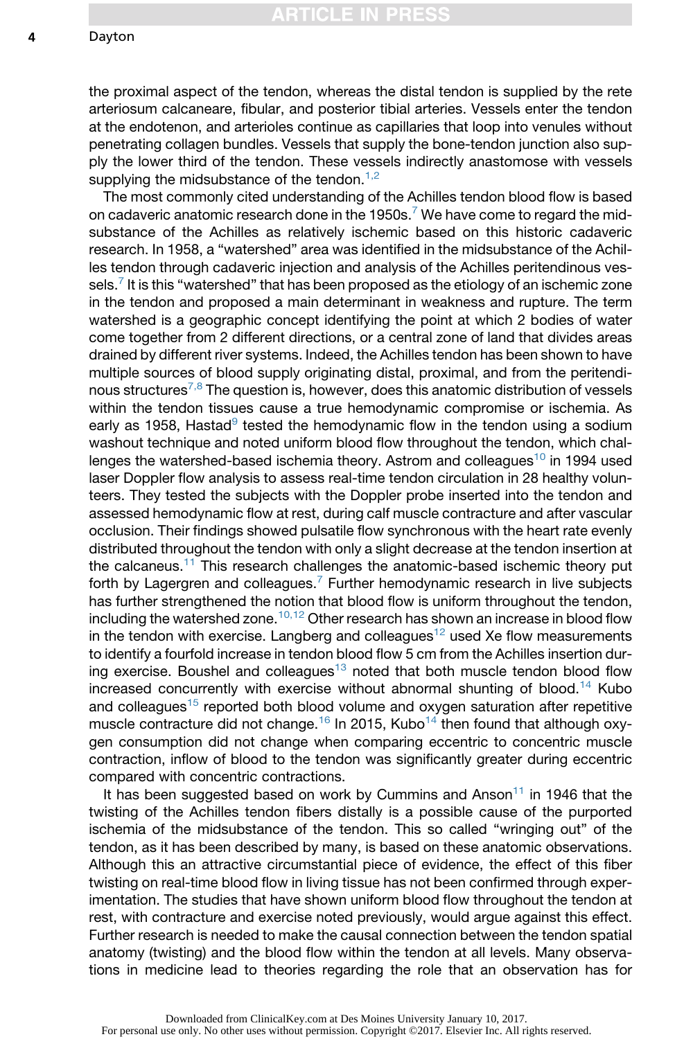the proximal aspect of the tendon, whereas the distal tendon is supplied by the rete arteriosum calcaneare, fibular, and posterior tibial arteries. Vessels enter the tendon at the endotenon, and arterioles continue as capillaries that loop into venules without penetrating collagen bundles. Vessels that supply the bone-tendon junction also supply the lower third of the tendon. These vessels indirectly anastomose with vessels supplying the midsubstance of the tendon.<sup>[1,2](#page-5-0)</sup>

The most commonly cited understanding of the Achilles tendon blood flow is based on cadaveric anatomic research done in the 1950s.<sup>[7](#page-5-0)</sup> We have come to regard the midsubstance of the Achilles as relatively ischemic based on this historic cadaveric research. In 1958, a "watershed" area was identified in the midsubstance of the Achilles tendon through cadaveric injection and analysis of the Achilles peritendinous ves-sels.<sup>[7](#page-5-0)</sup> It is this "watershed" that has been proposed as the etiology of an ischemic zone in the tendon and proposed a main determinant in weakness and rupture. The term watershed is a geographic concept identifying the point at which 2 bodies of water come together from 2 different directions, or a central zone of land that divides areas drained by different river systems. Indeed, the Achilles tendon has been shown to have multiple sources of blood supply originating distal, proximal, and from the peritendi-nous structures<sup>[7,8](#page-5-0)</sup> The question is, however, does this anatomic distribution of vessels within the tendon tissues cause a true hemodynamic compromise or ischemia. As early as 1[9](#page-5-0)58, Hastad<sup>9</sup> tested the hemodynamic flow in the tendon using a sodium washout technique and noted uniform blood flow throughout the tendon, which chal-lenges the watershed-based ischemia theory. Astrom and colleagues<sup>[10](#page-5-0)</sup> in 1994 used laser Doppler flow analysis to assess real-time tendon circulation in 28 healthy volunteers. They tested the subjects with the Doppler probe inserted into the tendon and assessed hemodynamic flow at rest, during calf muscle contracture and after vascular occlusion. Their findings showed pulsatile flow synchronous with the heart rate evenly distributed throughout the tendon with only a slight decrease at the tendon insertion at the calcaneus.[11](#page-6-0) This research challenges the anatomic-based ischemic theory put forth by Lagergren and colleagues.<sup>[7](#page-5-0)</sup> Further hemodynamic research in live subjects has further strengthened the notion that blood flow is uniform throughout the tendon, including the watershed zone.<sup>[10,12](#page-5-0)</sup> Other research has shown an increase in blood flow in the tendon with exercise. Langberg and colleagues<sup>[12](#page-6-0)</sup> used Xe flow measurements to identify a fourfold increase in tendon blood flow 5 cm from the Achilles insertion dur-ing exercise. Boushel and colleagues<sup>[13](#page-6-0)</sup> noted that both muscle tendon blood flow increased concurrently with exercise without abnormal shunting of blood.<sup>[14](#page-6-0)</sup> Kubo and colleagues<sup>[15](#page-6-0)</sup> reported both blood volume and oxygen saturation after repetitive muscle contracture did not change.<sup>[16](#page-6-0)</sup> In 2015, Kubo<sup>[14](#page-6-0)</sup> then found that although oxygen consumption did not change when comparing eccentric to concentric muscle contraction, inflow of blood to the tendon was significantly greater during eccentric compared with concentric contractions.

It has been suggested based on work by Cummins and Anson $11$  in 1946 that the twisting of the Achilles tendon fibers distally is a possible cause of the purported ischemia of the midsubstance of the tendon. This so called "wringing out" of the tendon, as it has been described by many, is based on these anatomic observations. Although this an attractive circumstantial piece of evidence, the effect of this fiber twisting on real-time blood flow in living tissue has not been confirmed through experimentation. The studies that have shown uniform blood flow throughout the tendon at rest, with contracture and exercise noted previously, would argue against this effect. Further research is needed to make the causal connection between the tendon spatial anatomy (twisting) and the blood flow within the tendon at all levels. Many observations in medicine lead to theories regarding the role that an observation has for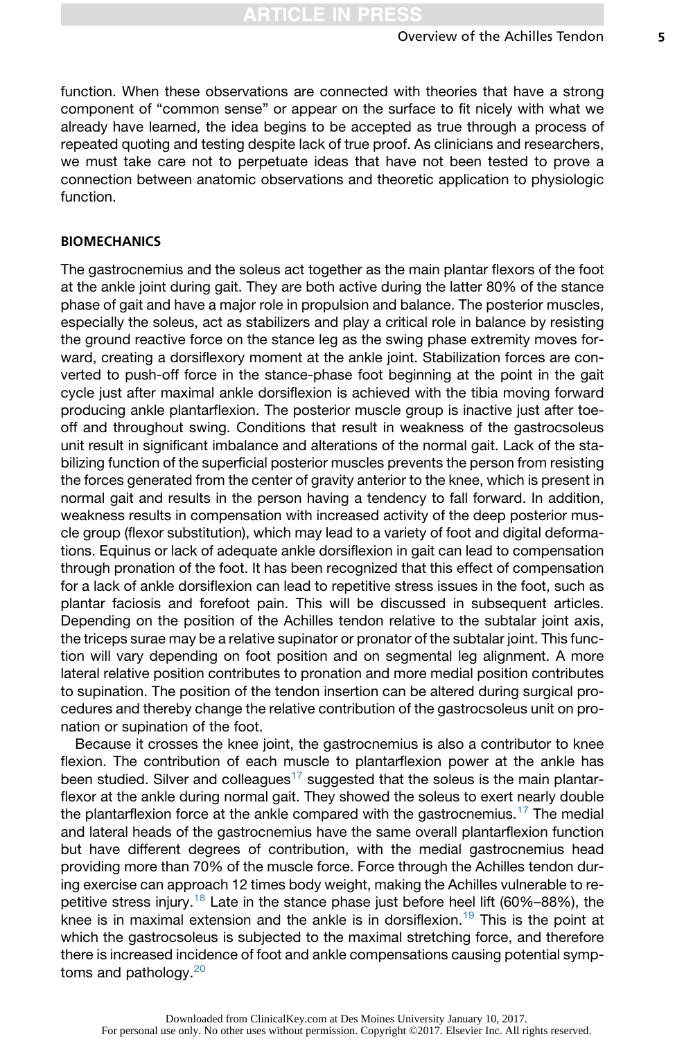function. When these observations are connected with theories that have a strong component of "common sense" or appear on the surface to fit nicely with what we already have learned, the idea begins to be accepted as true through a process of repeated quoting and testing despite lack of true proof. As clinicians and researchers, we must take care not to perpetuate ideas that have not been tested to prove a connection between anatomic observations and theoretic application to physiologic function.

### BIOMECHANICS

The gastrocnemius and the soleus act together as the main plantar flexors of the foot at the ankle joint during gait. They are both active during the latter 80% of the stance phase of gait and have a major role in propulsion and balance. The posterior muscles, especially the soleus, act as stabilizers and play a critical role in balance by resisting the ground reactive force on the stance leg as the swing phase extremity moves forward, creating a dorsiflexory moment at the ankle joint. Stabilization forces are converted to push-off force in the stance-phase foot beginning at the point in the gait cycle just after maximal ankle dorsiflexion is achieved with the tibia moving forward producing ankle plantarflexion. The posterior muscle group is inactive just after toeoff and throughout swing. Conditions that result in weakness of the gastrocsoleus unit result in significant imbalance and alterations of the normal gait. Lack of the stabilizing function of the superficial posterior muscles prevents the person from resisting the forces generated from the center of gravity anterior to the knee, which is present in normal gait and results in the person having a tendency to fall forward. In addition, weakness results in compensation with increased activity of the deep posterior muscle group (flexor substitution), which may lead to a variety of foot and digital deformations. Equinus or lack of adequate ankle dorsiflexion in gait can lead to compensation through pronation of the foot. It has been recognized that this effect of compensation for a lack of ankle dorsiflexion can lead to repetitive stress issues in the foot, such as plantar faciosis and forefoot pain. This will be discussed in subsequent articles. Depending on the position of the Achilles tendon relative to the subtalar joint axis, the triceps surae may be a relative supinator or pronator of the subtalar joint. This function will vary depending on foot position and on segmental leg alignment. A more lateral relative position contributes to pronation and more medial position contributes to supination. The position of the tendon insertion can be altered during surgical procedures and thereby change the relative contribution of the gastrocsoleus unit on pronation or supination of the foot.

Because it crosses the knee joint, the gastrocnemius is also a contributor to knee flexion. The contribution of each muscle to plantarflexion power at the ankle has been studied. Silver and colleagues<sup>[17](#page-6-0)</sup> suggested that the soleus is the main plantarflexor at the ankle during normal gait. They showed the soleus to exert nearly double the plantarflexion force at the ankle compared with the gastrocnemius.<sup>[17](#page-6-0)</sup> The medial and lateral heads of the gastrocnemius have the same overall plantarflexion function but have different degrees of contribution, with the medial gastrocnemius head providing more than 70% of the muscle force. Force through the Achilles tendon during exercise can approach 12 times body weight, making the Achilles vulnerable to re-petitive stress injury.<sup>[18](#page-6-0)</sup> Late in the stance phase just before heel lift (60%–88%), the knee is in maximal extension and the ankle is in dorsiflexion.<sup>[19](#page-6-0)</sup> This is the point at which the gastrocsoleus is subjected to the maximal stretching force, and therefore there is increased incidence of foot and ankle compensations causing potential symp-toms and pathology.<sup>[20](#page-6-0)</sup>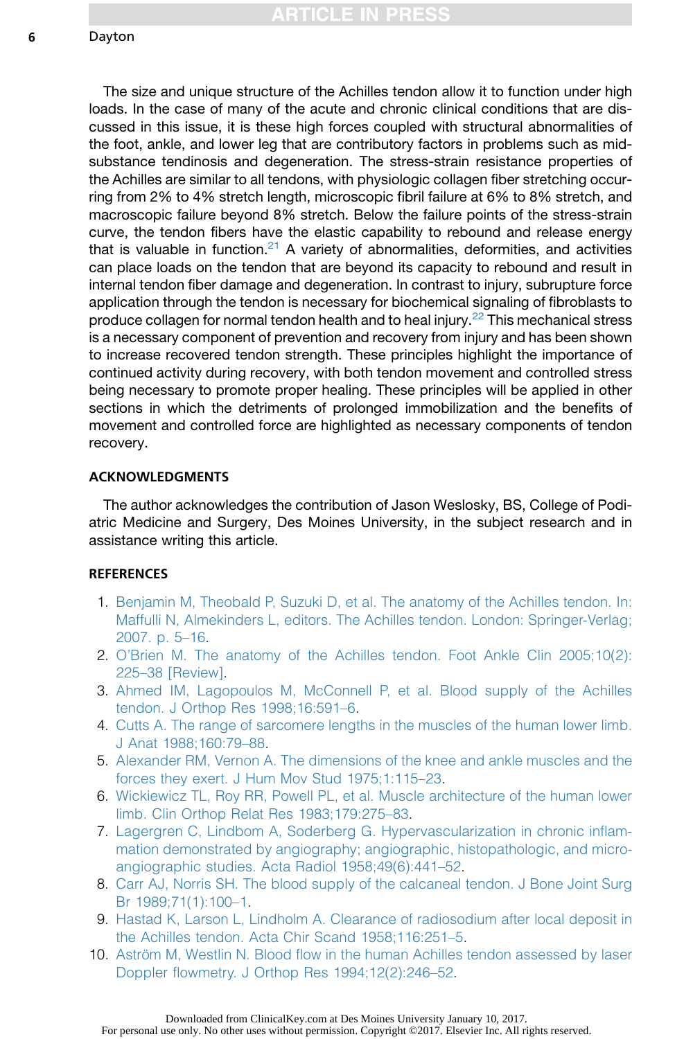**ARTICLE IN PRESS** 

#### <span id="page-5-0"></span>6 Dayton

The size and unique structure of the Achilles tendon allow it to function under high loads. In the case of many of the acute and chronic clinical conditions that are discussed in this issue, it is these high forces coupled with structural abnormalities of the foot, ankle, and lower leg that are contributory factors in problems such as midsubstance tendinosis and degeneration. The stress-strain resistance properties of the Achilles are similar to all tendons, with physiologic collagen fiber stretching occurring from 2% to 4% stretch length, microscopic fibril failure at 6% to 8% stretch, and macroscopic failure beyond 8% stretch. Below the failure points of the stress-strain curve, the tendon fibers have the elastic capability to rebound and release energy that is valuable in function.<sup>[21](#page-6-0)</sup> A variety of abnormalities, deformities, and activities can place loads on the tendon that are beyond its capacity to rebound and result in internal tendon fiber damage and degeneration. In contrast to injury, subrupture force application through the tendon is necessary for biochemical signaling of fibroblasts to produce collagen for normal tendon health and to heal injury.<sup>[22](#page-6-0)</sup> This mechanical stress is a necessary component of prevention and recovery from injury and has been shown to increase recovered tendon strength. These principles highlight the importance of continued activity during recovery, with both tendon movement and controlled stress being necessary to promote proper healing. These principles will be applied in other sections in which the detriments of prolonged immobilization and the benefits of movement and controlled force are highlighted as necessary components of tendon recovery.

#### ACKNOWLEDGMENTS

The author acknowledges the contribution of Jason Weslosky, BS, College of Podiatric Medicine and Surgery, Des Moines University, in the subject research and in assistance writing this article.

#### **REFERENCES**

- 1. [Benjamin M, Theobald P, Suzuki D, et al. The anatomy of the Achilles tendon. In:](http://refhub.elsevier.com/S0891-8422(16)30119-7/sref1) [Maffulli N, Almekinders L, editors. The Achilles tendon. London: Springer-Verlag;](http://refhub.elsevier.com/S0891-8422(16)30119-7/sref1) [2007. p. 5–16](http://refhub.elsevier.com/S0891-8422(16)30119-7/sref1).
- 2. [O'Brien M. The anatomy of the Achilles tendon. Foot Ankle Clin 2005;10\(2\):](http://refhub.elsevier.com/S0891-8422(16)30119-7/sref2) [225–38 \[Review\]](http://refhub.elsevier.com/S0891-8422(16)30119-7/sref2).
- 3. [Ahmed IM, Lagopoulos M, McConnell P, et al. Blood supply of the Achilles](http://refhub.elsevier.com/S0891-8422(16)30119-7/sref3) [tendon. J Orthop Res 1998;16:591–6.](http://refhub.elsevier.com/S0891-8422(16)30119-7/sref3)
- 4. [Cutts A. The range of sarcomere lengths in the muscles of the human lower limb.](http://refhub.elsevier.com/S0891-8422(16)30119-7/sref4) [J Anat 1988;160:79–88](http://refhub.elsevier.com/S0891-8422(16)30119-7/sref4).
- 5. [Alexander RM, Vernon A. The dimensions of the knee and ankle muscles and the](http://refhub.elsevier.com/S0891-8422(16)30119-7/sref5) [forces they exert. J Hum Mov Stud 1975;1:115–23](http://refhub.elsevier.com/S0891-8422(16)30119-7/sref5).
- 6. [Wickiewicz TL, Roy RR, Powell PL, et al. Muscle architecture of the human lower](http://refhub.elsevier.com/S0891-8422(16)30119-7/sref6) [limb. Clin Orthop Relat Res 1983;179:275–83.](http://refhub.elsevier.com/S0891-8422(16)30119-7/sref6)
- 7. [Lagergren C, Lindbom A, Soderberg G. Hypervascularization in chronic inflam](http://refhub.elsevier.com/S0891-8422(16)30119-7/sref7)[mation demonstrated by angiography; angiographic, histopathologic, and micro](http://refhub.elsevier.com/S0891-8422(16)30119-7/sref7)[angiographic studies. Acta Radiol 1958;49\(6\):441–52](http://refhub.elsevier.com/S0891-8422(16)30119-7/sref7).
- 8. [Carr AJ, Norris SH. The blood supply of the calcaneal tendon. J Bone Joint Surg](http://refhub.elsevier.com/S0891-8422(16)30119-7/sref8) [Br 1989;71\(1\):100–1](http://refhub.elsevier.com/S0891-8422(16)30119-7/sref8).
- 9. [Hastad K, Larson L, Lindholm A. Clearance of radiosodium after local deposit in](http://refhub.elsevier.com/S0891-8422(16)30119-7/sref9a) [the Achilles tendon. Acta Chir Scand 1958;116:251–5.](http://refhub.elsevier.com/S0891-8422(16)30119-7/sref9a)
- 10. Aström M, Westlin N. Blood flow in the human Achilles tendon assessed by laser [Doppler flowmetry. J Orthop Res 1994;12\(2\):246–52.](http://refhub.elsevier.com/S0891-8422(16)30119-7/sref10)